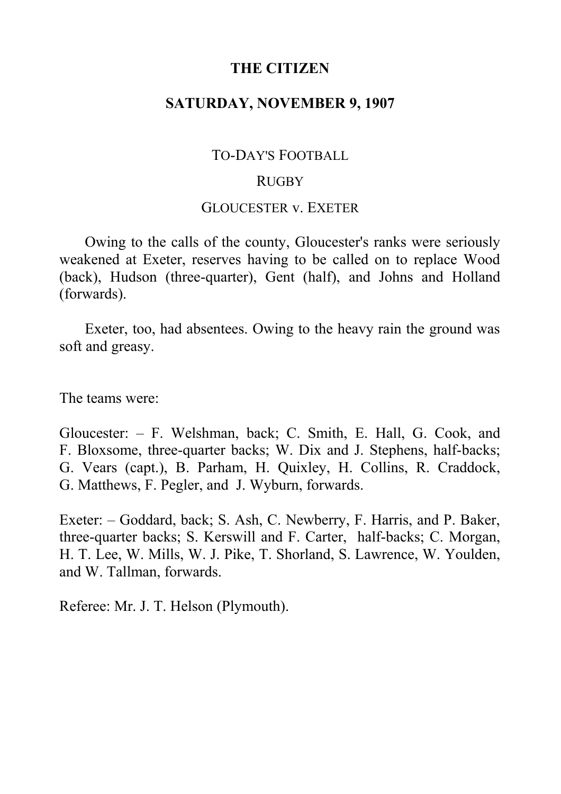## **THE CITIZEN**

# **SATURDAY, NOVEMBER 9, 1907**

### TO-DAY'S FOOTBALL

#### **RUGBY**

### GLOUCESTER v. EXETER

Owing to the calls of the county, Gloucester's ranks were seriously weakened at Exeter, reserves having to be called on to replace Wood (back), Hudson (three-quarter), Gent (half), and Johns and Holland (forwards).

Exeter, too, had absentees. Owing to the heavy rain the ground was soft and greasy.

The teams were:

Gloucester: ‒ F. Welshman, back; C. Smith, E. Hall, G. Cook, and F. Bloxsome, three-quarter backs; W. Dix and J. Stephens, half-backs; G. Vears (capt.), B. Parham, H. Quixley, H. Collins, R. Craddock, G. Matthews, F. Pegler, and J. Wyburn, forwards.

Exeter: – Goddard, back; S. Ash, C. Newberry, F. Harris, and P. Baker, three-quarter backs; S. Kerswill and F. Carter, half-backs; C. Morgan, H. T. Lee, W. Mills, W. J. Pike, T. Shorland, S. Lawrence, W. Youlden, and W. Tallman, forwards.

Referee: Mr. J. T. Helson (Plymouth).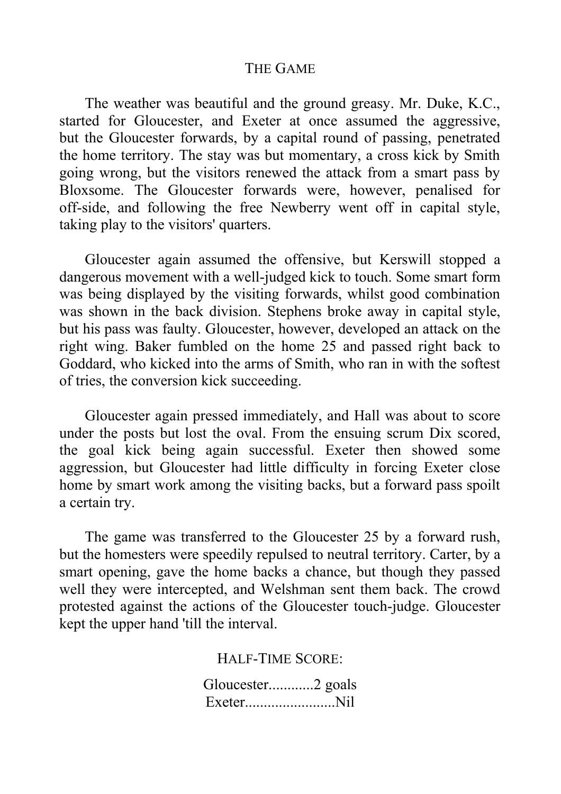### THE GAME

The weather was beautiful and the ground greasy. Mr. Duke, K.C., started for Gloucester, and Exeter at once assumed the aggressive, but the Gloucester forwards, by a capital round of passing, penetrated the home territory. The stay was but momentary, a cross kick by Smith going wrong, but the visitors renewed the attack from a smart pass by Bloxsome. The Gloucester forwards were, however, penalised for off-side, and following the free Newberry went off in capital style, taking play to the visitors' quarters.

Gloucester again assumed the offensive, but Kerswill stopped a dangerous movement with a well-judged kick to touch. Some smart form was being displayed by the visiting forwards, whilst good combination was shown in the back division. Stephens broke away in capital style, but his pass was faulty. Gloucester, however, developed an attack on the right wing. Baker fumbled on the home 25 and passed right back to Goddard, who kicked into the arms of Smith, who ran in with the softest of tries, the conversion kick succeeding.

Gloucester again pressed immediately, and Hall was about to score under the posts but lost the oval. From the ensuing scrum Dix scored, the goal kick being again successful. Exeter then showed some aggression, but Gloucester had little difficulty in forcing Exeter close home by smart work among the visiting backs, but a forward pass spoilt a certain try.

The game was transferred to the Gloucester 25 by a forward rush, but the homesters were speedily repulsed to neutral territory. Carter, by a smart opening, gave the home backs a chance, but though they passed well they were intercepted, and Welshman sent them back. The crowd protested against the actions of the Gloucester touch-judge. Gloucester kept the upper hand 'till the interval.

HALF-TIME SCORE:

Gloucester............2 goals Exeter........................Nil